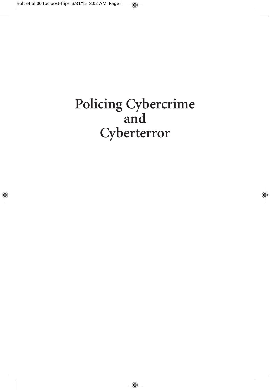# Policing Cybercrime and Cyberterror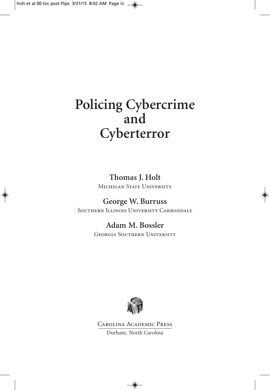# **Policing Cybercrime and Cyberterror**

**Thomas J. Holt** MICHIGAN STATE UNIVERSITY

#### **George W. Burruss** SOUTHERN ILLINOIS UNIVERSITY CARBONDALE

### **Adam M. Bossler**

Georgia Southern University



Carolina Academic Press Durham, North Carolina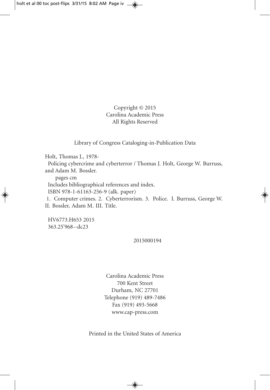Copyright © 2015 Carolina Academic Press All Rights Reserved

Library of Congress Cataloging-in-Publication Data

Holt, Thomas J., 1978-

Policing cybercrime and cyberterror / Thomas J. Holt, George W. Burruss, and Adam M. Bossler.

pages cm

Includes bibliographical references and index.

ISBN 978-1-61163-256-9 (alk. paper)

1. Computer crimes. 2. Cyberterrorism. 3. Police. I. Burruss, George W. II. Bossler, Adam M. III. Title.

HV6773.H653 2015 363.25'968--dc23

#### 2015000194

Carolina Academic Press 700 Kent Street Durham, NC 27701 Telephone (919) 489-7486 Fax (919) 493-5668 www.cap-press.com

Printed in the United States of America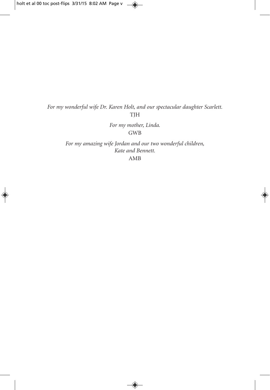*For my wonderful wife Dr. Karen Holt, and our spectacular daughter Scarlett.* TJH

> *For my mother, Linda.* GWB

*For my amazing wife Jordan and our two wonderful children, Kate and Bennett.*

AMB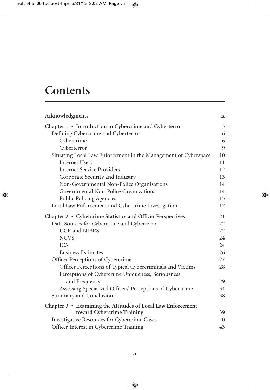## **Contents**

| Acknowledgments                                                 | ix |
|-----------------------------------------------------------------|----|
| Chapter 1 • Introduction to Cybercrime and Cyberterror          | 3  |
| Defining Cybercrime and Cyberterror                             | 6  |
| Cybercrime                                                      | 6  |
| Cyberterror                                                     | 9  |
| Situating Local Law Enforcement in the Management of Cyberspace | 10 |
| <b>Internet Users</b>                                           | 11 |
| <b>Internet Service Providers</b>                               | 12 |
| Corporate Security and Industry                                 | 13 |
| Non-Governmental Non-Police Organizations                       | 14 |
| Governmental Non-Police Organizations                           | 14 |
| Public Policing Agencies                                        | 15 |
| Local Law Enforcement and Cybercrime Investigation              | 17 |
| Chapter 2 • Cybercrime Statistics and Officer Perspectives      | 21 |
| Data Sources for Cybercrime and Cyberterror                     | 22 |
| <b>UCR</b> and <b>NIBRS</b>                                     | 22 |
| <b>NCVS</b>                                                     | 24 |
| IC <sub>3</sub>                                                 | 24 |
| <b>Business Estimates</b>                                       | 26 |
| Officer Perceptions of Cybercrime                               | 27 |
| Officer Perceptions of Typical Cybercriminals and Victims       | 28 |
| Perceptions of Cybercrime Uniqueness, Seriousness,              |    |
| and Frequency                                                   | 29 |
| Assessing Specialized Officers' Perceptions of Cybercrime       | 34 |
| Summary and Conclusion                                          | 38 |
| Chapter 3 • Examining the Attitudes of Local Law Enforcement    |    |
| toward Cybercrime Training                                      | 39 |
| Investigative Resources for Cybercrime Cases                    | 40 |
| Officer Interest in Cybercrime Training                         | 43 |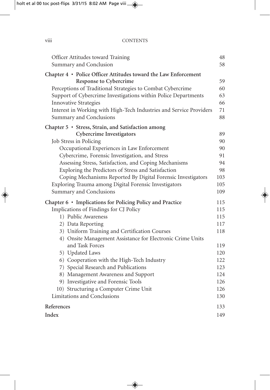| <br><b>V111</b> | <b>CONTENTS</b> |
|-----------------|-----------------|
|                 |                 |

| Officer Attitudes toward Training<br>Summary and Conclusion         | 48<br>58 |
|---------------------------------------------------------------------|----------|
| Chapter 4 · Police Officer Attitudes toward the Law Enforcement     |          |
| <b>Response to Cybercrime</b>                                       | 59       |
| Perceptions of Traditional Strategies to Combat Cybercrime          | 60       |
| Support of Cybercrime Investigations within Police Departments      | 63       |
| <b>Innovative Strategies</b>                                        | 66       |
| Interest in Working with High-Tech Industries and Service Providers | 71       |
| Summary and Conclusions                                             | 88       |
| Chapter 5 · Stress, Strain, and Satisfaction among                  |          |
| <b>Cybercrime Investigators</b>                                     | 89       |
| Job Stress in Policing                                              | 90       |
| Occupational Experiences in Law Enforcement                         | 90       |
| Cybercrime, Forensic Investigation, and Stress                      | 91       |
| Assessing Stress, Satisfaction, and Coping Mechanisms               | 94       |
| Exploring the Predictors of Stress and Satisfaction                 | 98       |
| Coping Mechanisms Reported By Digital Forensic Investigators        | 103      |
| Exploring Trauma among Digital Forensic Investigators               | 105      |
| Summary and Conclusions                                             | 109      |
| Chapter 6 • Implications for Policing Policy and Practice           | 115      |
| Implications of Findings for CJ Policy                              | 115      |
| 1) Public Awareness                                                 | 115      |
| 2) Data Reporting                                                   | 117      |
| 3) Uniform Training and Certification Courses                       | 118      |
| 4) Onsite Management Assistance for Electronic Crime Units          |          |
| and Task Forces                                                     | 119      |
| 5) Updated Laws                                                     | 120      |
| 6) Cooperation with the High-Tech Industry                          | 122      |
| 7) Special Research and Publications                                | 123      |
| 8) Management Awareness and Support                                 | 124      |
| 9) Investigative and Forensic Tools                                 | 126      |
| 10) Structuring a Computer Crime Unit                               | 126      |
| Limitations and Conclusions                                         | 130      |
| References                                                          | 133      |
| Index                                                               | 149      |